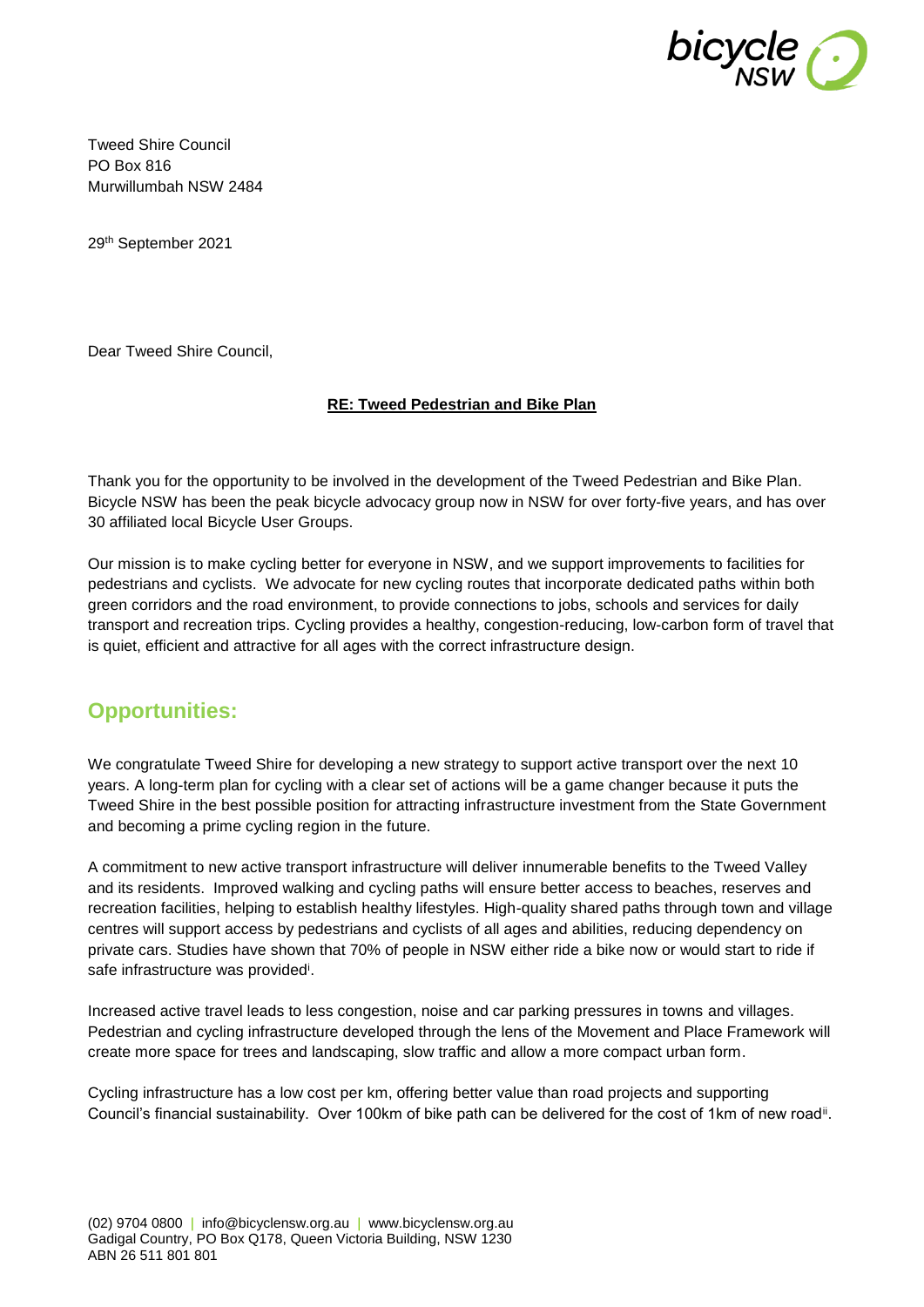

Tweed Shire Council PO Box 816 Murwillumbah NSW 2484

29th September 2021

Dear Tweed Shire Council,

#### **RE: Tweed Pedestrian and Bike Plan**

Thank you for the opportunity to be involved in the development of the Tweed Pedestrian and Bike Plan. Bicycle NSW has been the peak bicycle advocacy group now in NSW for over forty-five years, and has over 30 affiliated local Bicycle User Groups.

Our mission is to make cycling better for everyone in NSW, and we support improvements to facilities for pedestrians and cyclists. We advocate for new cycling routes that incorporate dedicated paths within both green corridors and the road environment, to provide connections to jobs, schools and services for daily transport and recreation trips. Cycling provides a healthy, congestion-reducing, low-carbon form of travel that is quiet, efficient and attractive for all ages with the correct infrastructure design.

# **Opportunities:**

We congratulate Tweed Shire for developing a new strategy to support active transport over the next 10 years. A long-term plan for cycling with a clear set of actions will be a game changer because it puts the Tweed Shire in the best possible position for attracting infrastructure investment from the State Government and becoming a prime cycling region in the future.

A commitment to new active transport infrastructure will deliver innumerable benefits to the Tweed Valley and its residents. Improved walking and cycling paths will ensure better access to beaches, reserves and recreation facilities, helping to establish healthy lifestyles. High-quality shared paths through town and village centres will support access by pedestrians and cyclists of all ages and abilities, reducing dependency on private cars. Studies have shown that 70% of people in NSW either ride a bike now or would start to ride if safe infrastructure was provided<sup>i</sup>.

Increased active travel leads to less congestion, noise and car parking pressures in towns and villages. Pedestrian and cycling infrastructure developed through the lens of the Movement and Place Framework will create more space for trees and landscaping, slow traffic and allow a more compact urban form.

Cycling infrastructure has a low cost per km, offering better value than road projects and supporting Council's financial sustainability. Over 100km of bike path can be delivered for the cost of 1km of new road<sup>ii</sup>.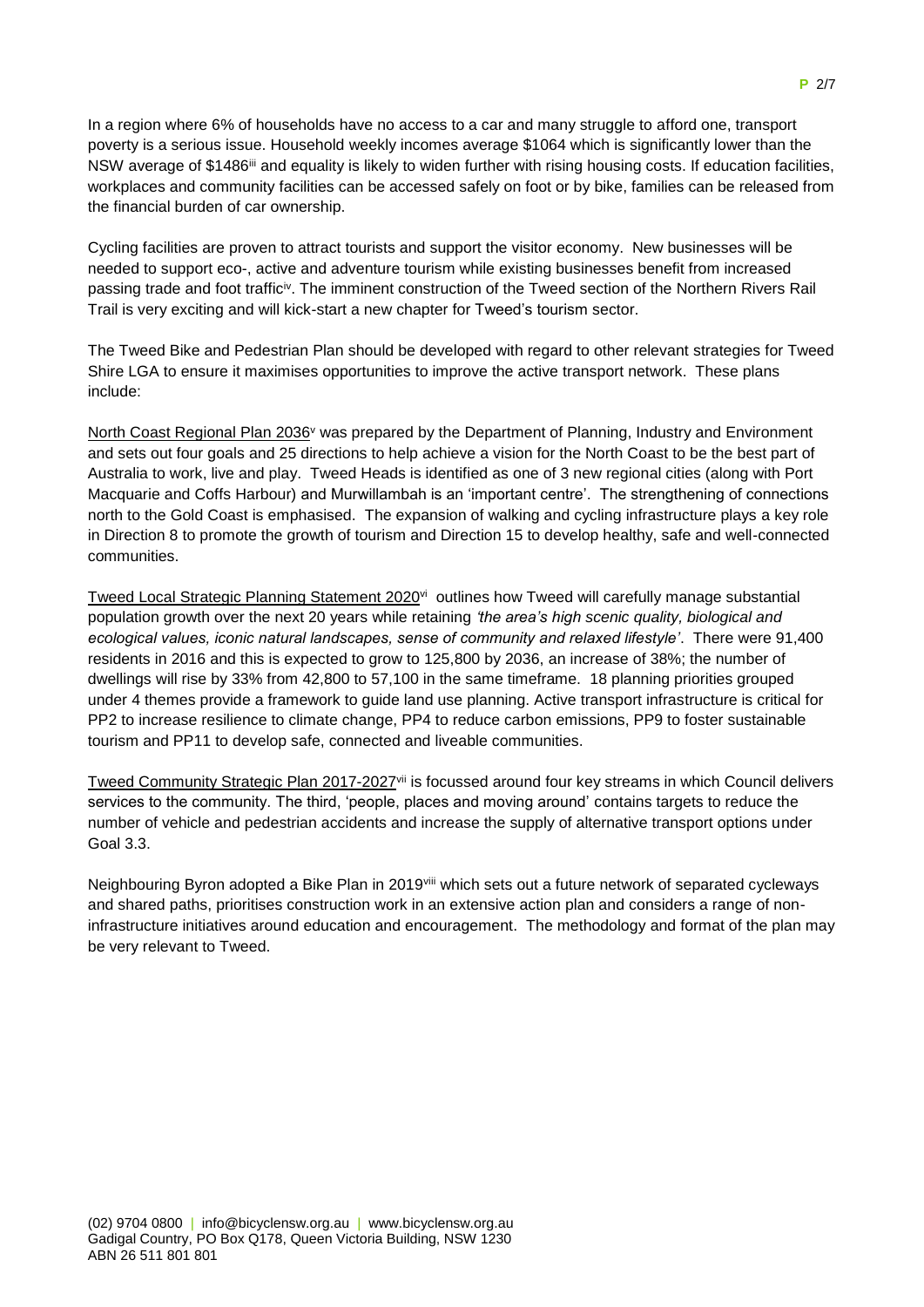In a region where 6% of households have no access to a car and many struggle to afford one, transport poverty is a serious issue. Household weekly incomes average \$1064 which is significantly lower than the NSW average of \$1486<sup>iii</sup> and equality is likely to widen further with rising housing costs. If education facilities, workplaces and community facilities can be accessed safely on foot or by bike, families can be released from the financial burden of car ownership.

Cycling facilities are proven to attract tourists and support the visitor economy. New businesses will be needed to support eco-, active and adventure tourism while existing businesses benefit from increased passing trade and foot traffic<sup>iv</sup>. The imminent construction of the Tweed section of the Northern Rivers Rail Trail is very exciting and will kick-start a new chapter for Tweed's tourism sector.

The Tweed Bike and Pedestrian Plan should be developed with regard to other relevant strategies for Tweed Shire LGA to ensure it maximises opportunities to improve the active transport network. These plans include:

North Coast Regional Plan 2036<sup>v</sup> was prepared by the Department of Planning, Industry and Environment and sets out four goals and 25 directions to help achieve a vision for the North Coast to be the best part of Australia to work, live and play. Tweed Heads is identified as one of 3 new regional cities (along with Port Macquarie and Coffs Harbour) and Murwillambah is an 'important centre'. The strengthening of connections north to the Gold Coast is emphasised. The expansion of walking and cycling infrastructure plays a key role in Direction 8 to promote the growth of tourism and Direction 15 to develop healthy, safe and well-connected communities.

Tweed Local Strategic Planning Statement 2020<sup>vi</sup> outlines how Tweed will carefully manage substantial population growth over the next 20 years while retaining *'the area's high scenic quality, biological and ecological values, iconic natural landscapes, sense of community and relaxed lifestyle'*. There were 91,400 residents in 2016 and this is expected to grow to 125,800 by 2036, an increase of 38%; the number of dwellings will rise by 33% from 42,800 to 57,100 in the same timeframe. 18 planning priorities grouped under 4 themes provide a framework to guide land use planning. Active transport infrastructure is critical for PP2 to increase resilience to climate change, PP4 to reduce carbon emissions, PP9 to foster sustainable tourism and PP11 to develop safe, connected and liveable communities.

Tweed Community Strategic Plan 2017-2027<sup>vii</sup> is focussed around four key streams in which Council delivers services to the community. The third, 'people, places and moving around' contains targets to reduce the number of vehicle and pedestrian accidents and increase the supply of alternative transport options under Goal 3.3.

Neighbouring Byron adopted a Bike Plan in 2019viii which sets out a future network of separated cycleways and shared paths, prioritises construction work in an extensive action plan and considers a range of noninfrastructure initiatives around education and encouragement. The methodology and format of the plan may be very relevant to Tweed.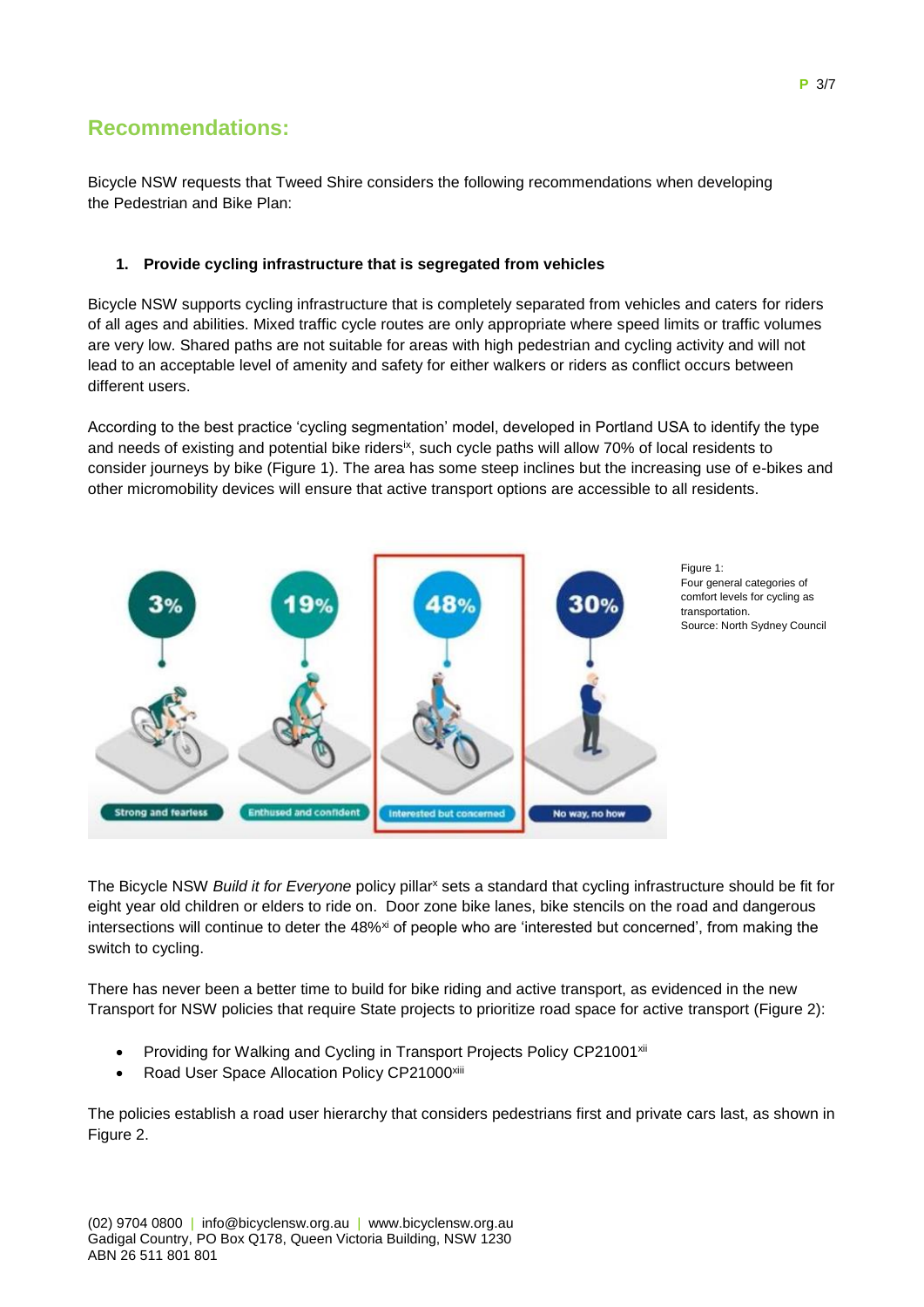# **Recommendations:**

Bicycle NSW requests that Tweed Shire considers the following recommendations when developing the Pedestrian and Bike Plan:

### **1. Provide cycling infrastructure that is segregated from vehicles**

Bicycle NSW supports cycling infrastructure that is completely separated from vehicles and caters for riders of all ages and abilities. Mixed traffic cycle routes are only appropriate where speed limits or traffic volumes are very low. Shared paths are not suitable for areas with high pedestrian and cycling activity and will not lead to an acceptable level of amenity and safety for either walkers or riders as conflict occurs between different users.

According to the best practice 'cycling segmentation' model, developed in Portland USA to identify the type and needs of existing and potential bike riders<sup>ix</sup>, such cycle paths will allow 70% of local residents to consider journeys by bike (Figure 1). The area has some steep inclines but the increasing use of e-bikes and other micromobility devices will ensure that active transport options are accessible to all residents.



The Bicycle NSW *Build it for Everyone* policy pillar<sup>x</sup> sets a standard that cycling infrastructure should be fit for eight year old children or elders to ride on. Door zone bike lanes, bike stencils on the road and dangerous intersections will continue to deter the 48%<sup>xi</sup> of people who are 'interested but concerned', from making the

There has never been a better time to build for bike riding and active transport, as evidenced in the new Transport for NSW policies that require State projects to prioritize road space for active transport (Figure 2):

- Providing for Walking and Cycling in Transport Projects Policy CP21001<sup>xii</sup>
- Road User Space Allocation Policy CP21000xiii

switch to cycling.

The policies establish a road user hierarchy that considers pedestrians first and private cars last, as shown in Figure 2.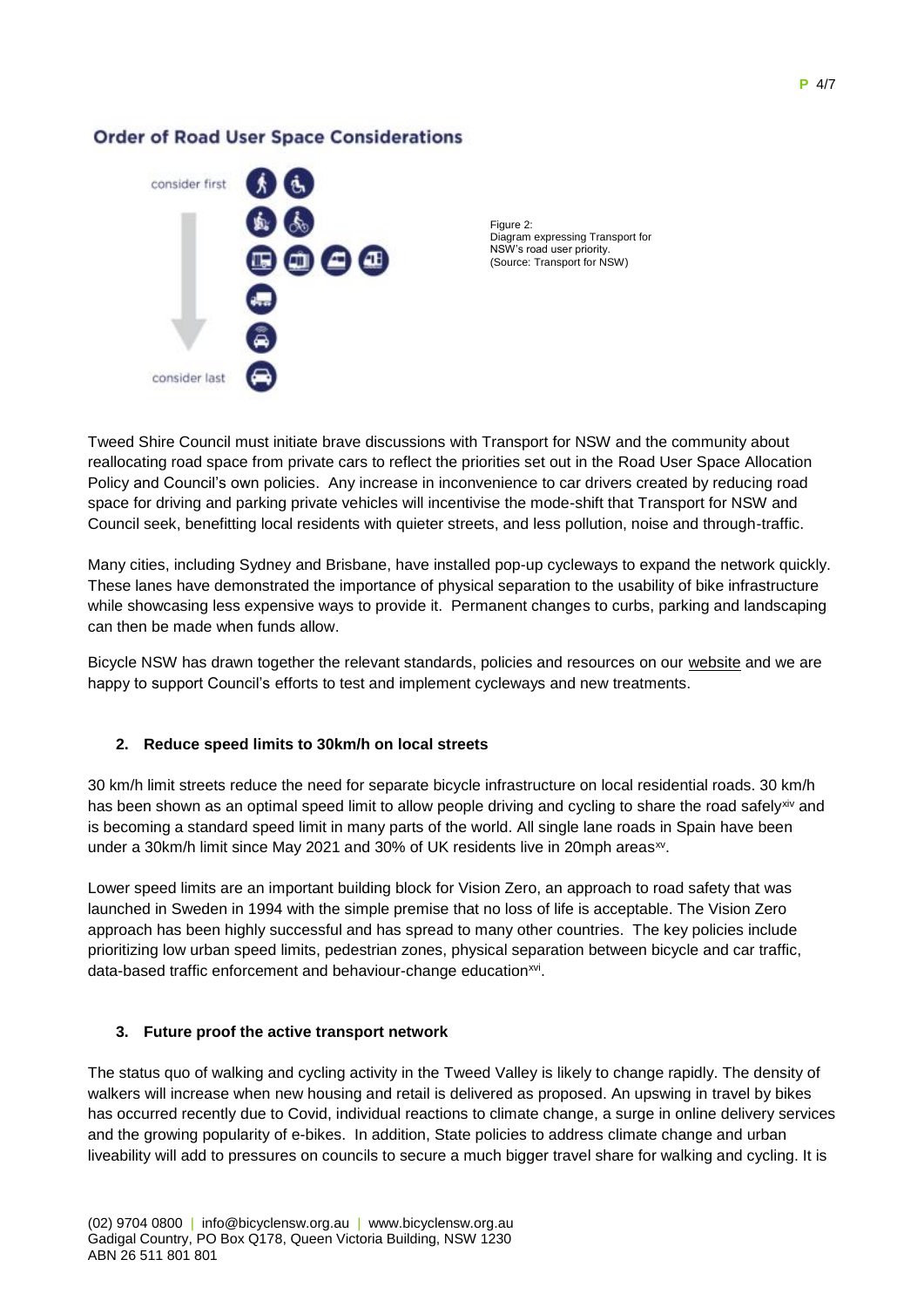### **Order of Road User Space Considerations**



Figure 2: Diagram expressing Transport for NSW's road user priority. (Source: Transport for NSW)

Tweed Shire Council must initiate brave discussions with Transport for NSW and the community about reallocating road space from private cars to reflect the priorities set out in the Road User Space Allocation Policy and Council's own policies. Any increase in inconvenience to car drivers created by reducing road space for driving and parking private vehicles will incentivise the mode-shift that Transport for NSW and Council seek, benefitting local residents with quieter streets, and less pollution, noise and through-traffic.

Many cities, including Sydney and Brisbane, have installed pop-up cycleways to expand the network quickly. These lanes have demonstrated the importance of physical separation to the usability of bike infrastructure while showcasing less expensive ways to provide it. Permanent changes to curbs, parking and landscaping can then be made when funds allow.

Bicycle NSW has drawn together the relevant standards, policies and resources on our [website](https://bicyclensw.org.au/rays-corner/) and we are happy to support Council's efforts to test and implement cycleways and new treatments.

### **2. Reduce speed limits to 30km/h on local streets**

30 km/h limit streets reduce the need for separate bicycle infrastructure on local residential roads. 30 km/h has been shown as an optimal speed limit to allow people driving and cycling to share the road safelyxiv and is becoming a standard speed limit in many parts of the world. All single lane roads in Spain have been under a 30km/h limit since May 2021 and 30% of UK residents live in 20mph areas<sup>xv</sup>.

Lower speed limits are an important building block for Vision Zero, an approach to road safety that was launched in Sweden in 1994 with the simple premise that no loss of life is acceptable. The Vision Zero approach has been highly successful and has spread to many other countries. The key policies include prioritizing low urban speed limits, pedestrian zones, physical separation between bicycle and car traffic, data-based traffic enforcement and behaviour-change education<sup>xvi</sup>.

### **3. Future proof the active transport network**

The status quo of walking and cycling activity in the Tweed Valley is likely to change rapidly. The density of walkers will increase when new housing and retail is delivered as proposed. An upswing in travel by bikes has occurred recently due to Covid, individual reactions to climate change, a surge in online delivery services and the growing popularity of e-bikes. In addition, State policies to address climate change and urban liveability will add to pressures on councils to secure a much bigger travel share for walking and cycling. It is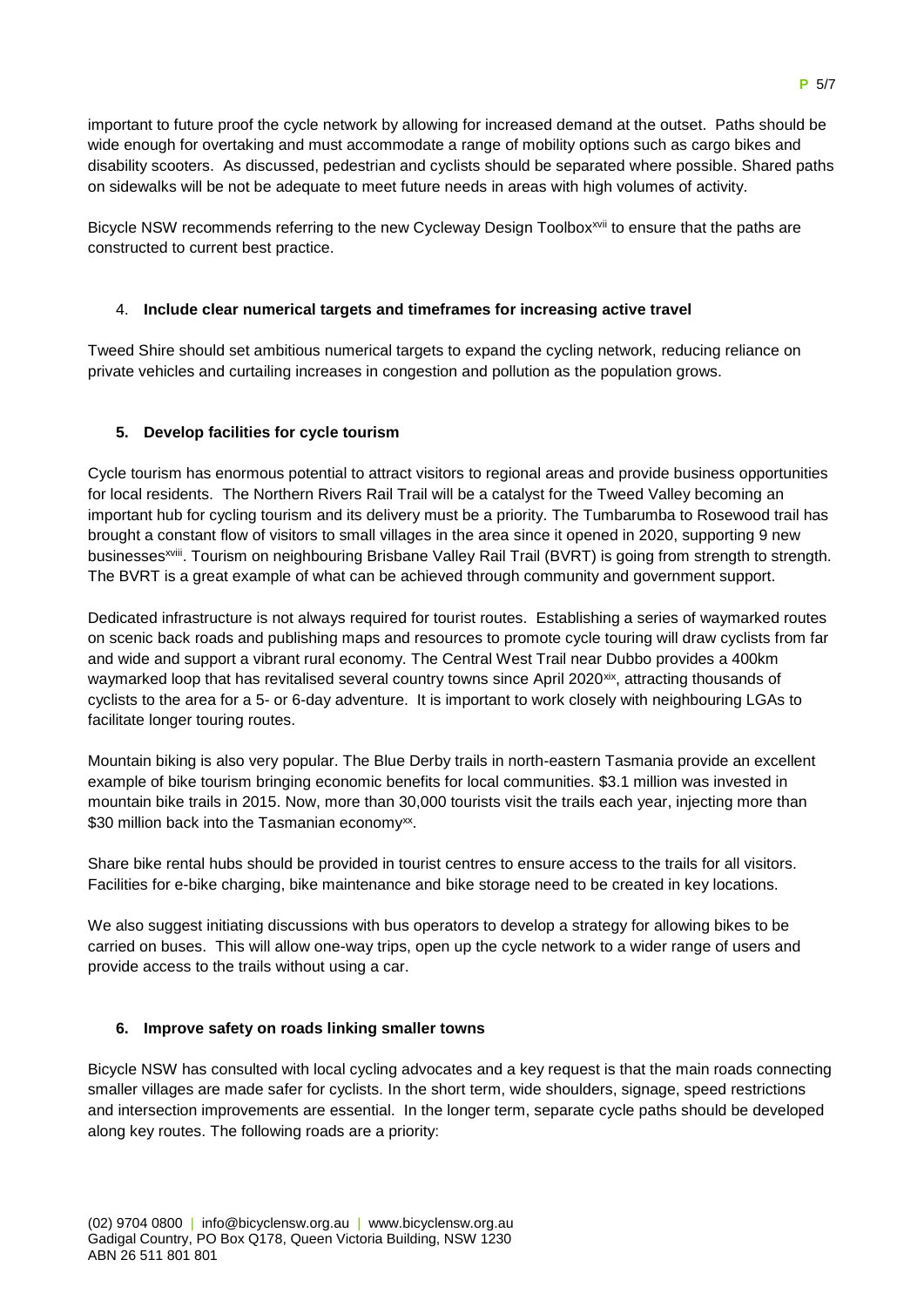important to future proof the cycle network by allowing for increased demand at the outset. Paths should be wide enough for overtaking and must accommodate a range of mobility options such as cargo bikes and disability scooters. As discussed, pedestrian and cyclists should be separated where possible. Shared paths on sidewalks will be not be adequate to meet future needs in areas with high volumes of activity.

Bicycle NSW recommends referring to the new Cycleway Design Toolbox<sup>xvii</sup> to ensure that the paths are constructed to current best practice.

#### 4. **Include clear numerical targets and timeframes for increasing active travel**

Tweed Shire should set ambitious numerical targets to expand the cycling network, reducing reliance on private vehicles and curtailing increases in congestion and pollution as the population grows.

#### **5. Develop facilities for cycle tourism**

Cycle tourism has enormous potential to attract visitors to regional areas and provide business opportunities for local residents. The Northern Rivers Rail Trail will be a catalyst for the Tweed Valley becoming an important hub for cycling tourism and its delivery must be a priority. The Tumbarumba to Rosewood trail has brought a constant flow of visitors to small villages in the area since it opened in 2020, supporting 9 new businesses<sup>xviii</sup>. Tourism on neighbouring [Brisbane Valley Rail Trail](https://www.tmr.qld.gov.au/bvrt) (BVRT) is going from strength to strength. The BVRT is a great example of what can be achieved through community and government support.

Dedicated infrastructure is not always required for tourist routes. Establishing a series of waymarked routes on scenic back roads and publishing maps and resources to promote cycle touring will draw cyclists from far and wide and support a vibrant rural economy. The Central West Trail near Dubbo provides a 400km waymarked loop that has revitalised several country towns since April 2020<sup>xix</sup>, attracting thousands of cyclists to the area for a 5- or 6-day adventure. It is important to work closely with neighbouring LGAs to facilitate longer touring routes.

Mountain biking is also very popular. The Blue Derby trails in north-eastern Tasmania provide an excellent example of bike tourism bringing economic benefits for local communities. \$3.1 million was invested in mountain bike trails in 2015. Now, more than 30,000 tourists visit the trails each year, injecting more than \$30 million back into the Tasmanian economy<sup>xx</sup>.

Share bike rental hubs should be provided in tourist centres to ensure access to the trails for all visitors. Facilities for e-bike charging, bike maintenance and bike storage need to be created in key locations.

We also suggest initiating discussions with bus operators to develop a strategy for allowing bikes to be carried on buses. This will allow one-way trips, open up the cycle network to a wider range of users and provide access to the trails without using a car.

#### **6. Improve safety on roads linking smaller towns**

Bicycle NSW has consulted with local cycling advocates and a key request is that the main roads connecting smaller villages are made safer for cyclists. In the short term, wide shoulders, signage, speed restrictions and intersection improvements are essential. In the longer term, separate cycle paths should be developed along key routes. The following roads are a priority: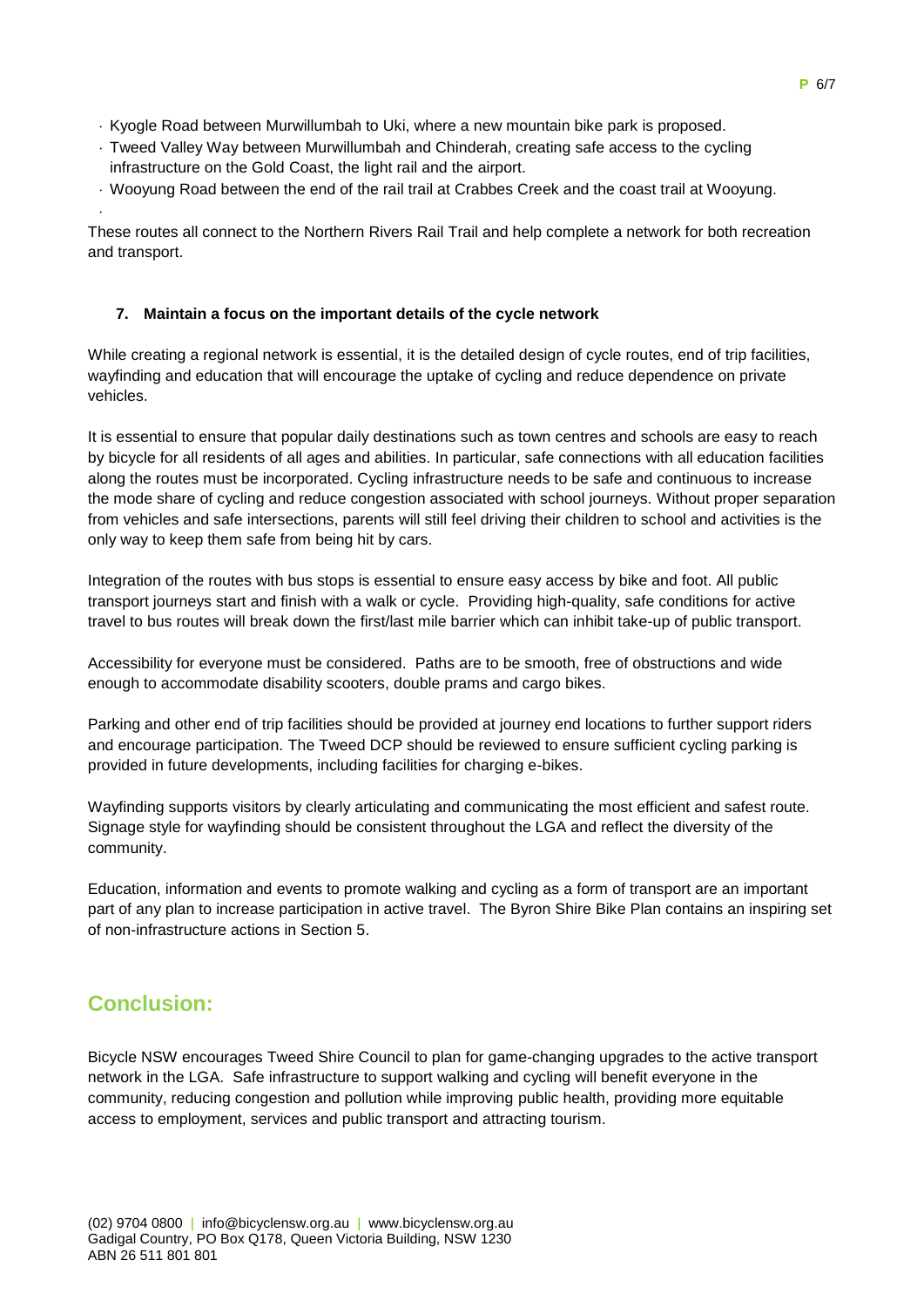- Kyogle Road between Murwillumbah to Uki, where a new mountain bike park is proposed.
- Tweed Valley Way between Murwillumbah and Chinderah, creating safe access to the cycling infrastructure on the Gold Coast, the light rail and the airport.
- Wooyung Road between the end of the rail trail at Crabbes Creek and the coast trail at Wooyung.

These routes all connect to the Northern Rivers Rail Trail and help complete a network for both recreation and transport.

#### **7. Maintain a focus on the important details of the cycle network**

While creating a regional network is essential, it is the detailed design of cycle routes, end of trip facilities, wayfinding and education that will encourage the uptake of cycling and reduce dependence on private vehicles.

It is essential to ensure that popular daily destinations such as town centres and schools are easy to reach by bicycle for all residents of all ages and abilities. In particular, safe connections with all education facilities along the routes must be incorporated. Cycling infrastructure needs to be safe and continuous to increase the mode share of cycling and reduce congestion associated with school journeys. Without proper separation from vehicles and safe intersections, parents will still feel driving their children to school and activities is the only way to keep them safe from being hit by cars.

Integration of the routes with bus stops is essential to ensure easy access by bike and foot. All public transport journeys start and finish with a walk or cycle. Providing high-quality, safe conditions for active travel to bus routes will break down the first/last mile barrier which can inhibit take-up of public transport.

Accessibility for everyone must be considered. Paths are to be smooth, free of obstructions and wide enough to accommodate disability scooters, double prams and cargo bikes.

Parking and other end of trip facilities should be provided at journey end locations to further support riders and encourage participation. The Tweed DCP should be reviewed to ensure sufficient cycling parking is provided in future developments, including facilities for charging e-bikes.

Wayfinding supports visitors by clearly articulating and communicating the most efficient and safest route. Signage style for wayfinding should be consistent throughout the LGA and reflect the diversity of the community.

Education, information and events to promote walking and cycling as a form of transport are an important part of any plan to increase participation in active travel. The Byron Shire Bike Plan contains an inspiring set of non-infrastructure actions in Section 5.

# **Conclusion:**

.

Bicycle NSW encourages Tweed Shire Council to plan for game-changing upgrades to the active transport network in the LGA. Safe infrastructure to support walking and cycling will benefit everyone in the community, reducing congestion and pollution while improving public health, providing more equitable access to employment, services and public transport and attracting tourism.